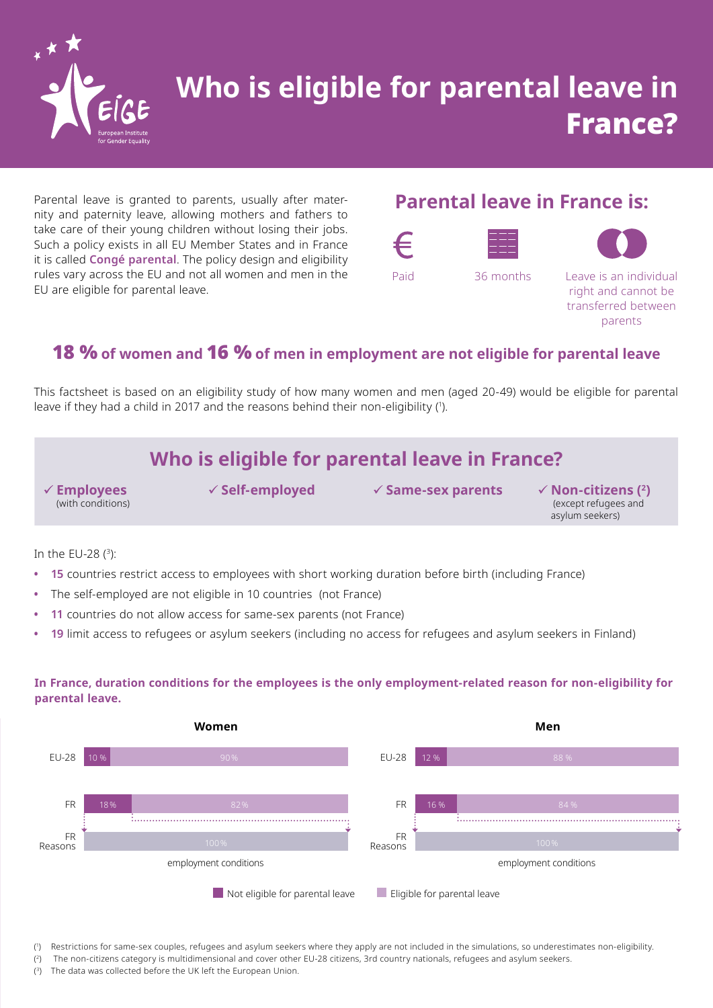

# **Who is eligible for parental leave in** France?

Parental leave is granted to parents, usually after maternity and paternity leave, allowing mothers and fathers to take care of their young children without losing their jobs. Such a policy exists in all EU Member States and in France it is called **Congé parental**. The policy design and eligibility rules vary across the EU and not all women and men in the EU are eligible for parental leave.

### **Parental leave in France is:**







Paid 36 months Leave is an individual right and cannot be transferred between parents

### 18 % **of women and** 16 % **of men in employment are not eligible for parental leave**

This factsheet is based on an eligibility study of how many women and men (aged 20-49) would be eligible for parental leave if they had a child in 2017 and the reasons behind their non-eligibility (').

## **Who is eligible for parental leave in France?**

**Employees** (with conditions)

**Self-employed Same-sex parents Non-citizens (2)**

 (except refugees and asylum seekers)

In the EU-28 ( 3):

- **• 15** countries restrict access to employees with short working duration before birth (including France)
- **•** The self-employed are not eligible in 10 countries (not France)
- **• 11** countries do not allow access for same-sex parents (not France)
- **• 19** limit access to refugees or asylum seekers (including no access for refugees and asylum seekers in Finland)

### **In France, duration conditions for the employees is the only employment-related reason for non-eligibility for parental leave.**



( 1 ) Restrictions for same-sex couples, refugees and asylum seekers where they apply are not included in the simulations, so underestimates non-eligibility.

 $(2)$ 2) The non-citizens category is multidimensional and cover other EU-28 citizens, 3rd country nationals, refugees and asylum seekers.

 $(3)$ The data was collected before the UK left the European Union.